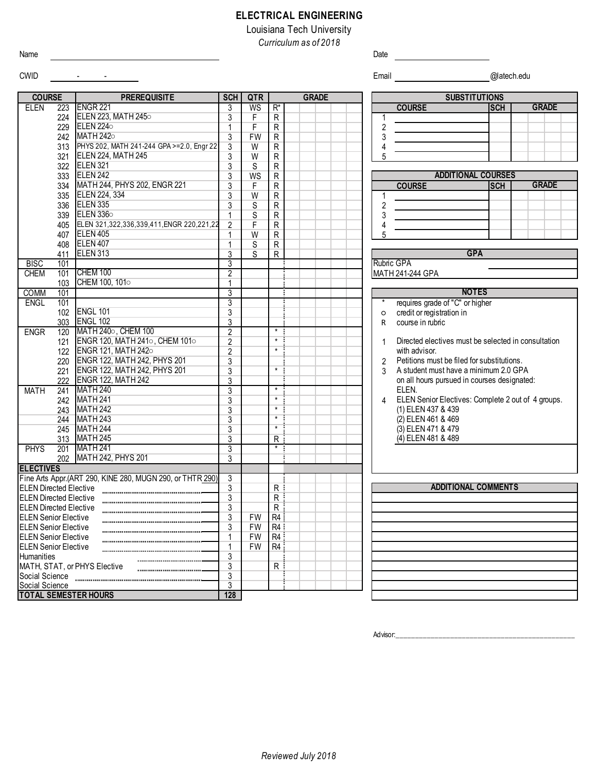## **ELECTRICAL ENGINEERING**

Louisiana Tech University *Curriculum as of 2018*

Name **Date Date of the Contract of the Contract of the Contract of the Contract of the Contract of the Contract of the Contract of the Contract of the Contract of the Contract of the Contract of the Contract of the Contr** 

## CWID - - Email @latech.edu

Social Science 2011 - 2021 - 2022 - 2023 - 2024 - 2024 - 2024 - 2024 - 2024 - 2024 - 2024 - 2024 - 2024 - 2024<br>TOTAL SEMESTER HOURS - 2022 - 2022 - 2022 - 2024 - 2022 - 2024 - 2022 - 2024 - 2024 - 2024 - 2024 - 2024 - 20

**TOTAL SEMESTER HOURS 128**

**SCH QTR** ELEN 223 3 WS R\* **COURSE SCH** 224 ELEN 223, MATH 245○ 3 F R 1 229 ELEN 224 $\circ$  (1 F R ) 1 2 242 MATH 242 $\circ$  3 FW R  $\vert$  3 3  $\vert$  5  $\vert$  3  $\vert$  5  $\vert$  3  $\vert$  5  $\vert$  3  $\vert$  5  $\vert$  3  $\vert$  5  $\vert$  3  $\vert$  5  $\vert$  3  $\vert$  5  $\vert$  5  $\vert$  3  $\vert$  5  $\vert$  5  $\vert$  5  $\vert$  5  $\vert$  5  $\vert$  5  $\vert$  5  $\vert$  5  $\vert$  5  $\vert$  5  $\vert$  5  $\vert$  5 313 PHYS 202, MATH 241-244 GPA >=2.0, Engr 22 | 3 | W | R | | | | | | | | | 4 321 3 W R 5 ELEN 224, MATH 245 322 ELEN 321 S R 333 3 WS R 334 MATH 244, PHYS 202, ENGR 221 3 F R H I GOURSE **SCH** 335 3 W R 1 ELEN 224, 334 336 3 S R 2 339 1 S R 3 405 ELEN 321,322,336,339,411,ENGR 220,221,22 2 F R H R H H 4 407 1 W R 5 408 1 S R ELEN 407 411 ELEN 313 S R BISC 101 3 CHEM 101 CHEM 100<br>103 CHEM 100, 101 103 CHEM 100, 101○ 1 COMM 101 3 ENGL 101 **102** ENGL 101 **102** ENGL 101 **102** ENGL 101 102 3 ○ credit or registration in 303 3 R course in rubric ENGR 120 MATH 240○, CHEM 100 2 2 \* 121 ENGR 120, MATH 241○, CHEM 101○ | 2 | | \* ┊ | | | | | | 1 122 ENGR 121, MATH 242○ 2 2 \* 220 3 2 ENGR 122, MATH 242, PHYS 201 221 ENGR 122, MATH 242, PHYS 201  $\begin{array}{|c|c|c|c|c|c|c|c|c|} \hline \text{3} & \text{4} & \text{5} & \text{6} & \text{7} & \text{8} \ \hline \end{array}$ 222 ENGR 122, MATH 242 3 MATH 241 MATH 240 3 3 \* 242 3 \* 4 243 MATH 242 3 3 \* 244 3 \* MATH 243 245 | MATH 244 | 245 | MATH 244 | 245 | 246 | 247 | 248 | 248 | 258 | 259 | 259 | 259 | 259 | 259 | 259 | 259 313 MATH 245 8 8 20 21 22 23 24 25 PHYS 201 MATH 241 3 3 \* 202 MATH 242, PHYS 201 3 **ELECTIVES** Fine Arts Appr.(ART 290, KINE 280, MUGN 290, or THTR 290) 3 ELEN Directed Elective 3 R ELEN Directed Elective 3 R ELEN Directed Elective **Construction Construction** 3 R ELEN Senior Elective **Construction Construction Construction**<br>ELEN Senior Elective **3** FW R4 **ELEN Senior Elective** ELEN Senior Elective 1 FW R4  $\frac{1}{3}$ **Humanities** MATH, STAT, or PHYS Elective **All Accords** And Accords and Accords and Accords Accords Accords Accords Accords A Social Science 3 ENGL 102 MATH 241 ENGL 101 ELEN<sub>335</sub> ELEN 336○ ELEN 405 Rubric GPA **GPA** CHEM 100 **ADDITIONAL COURSES GRADE COURSE PREREQUISITE** SCH QTR GRADE **GRADE PREREQUISITE SUBSTITUTIONS** ENGR 221 ELEN 224○ MATH 242○ ELEN 242 (3) ELEN 471 & 479 (4) ELEN 481 & 489 **NOTES** Directed electives must be selected in consultation **ADDITIONAL COMMENTS** with advisor. Petitions must be filed for substitutions. A student must have a minimum 2.0 GPA on all hours pursued in courses designated: ELEN. ELEN Senior Electives: Complete 2 out of 4 groups. (1) ELEN 437 & 439 (2) ELEN 461 & 469

Advisor: